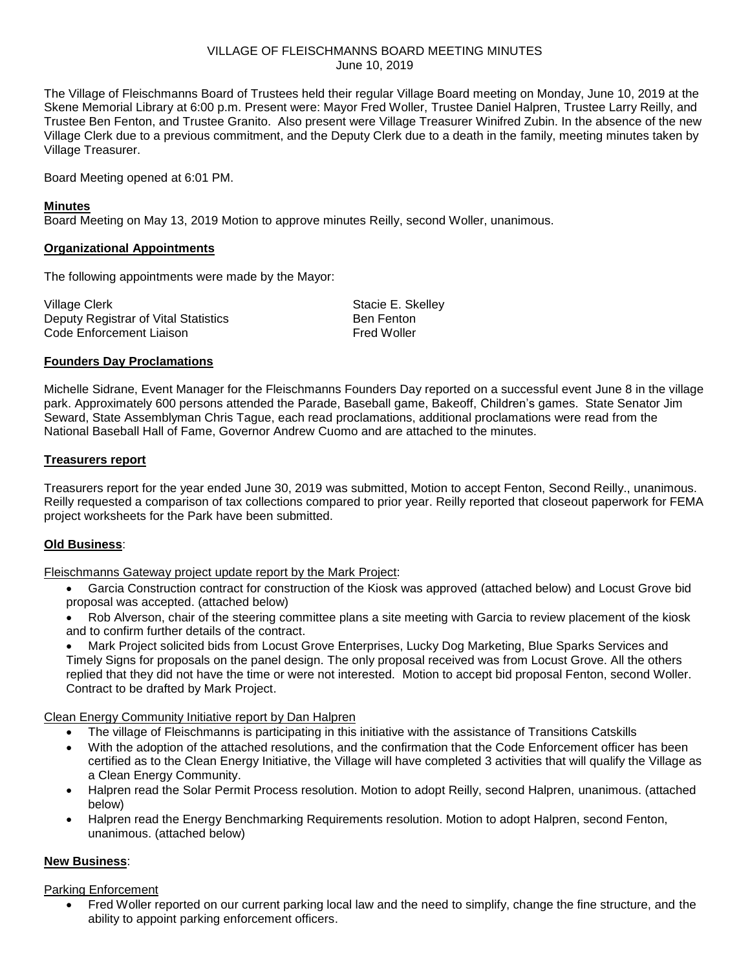## VILLAGE OF FLEISCHMANNS BOARD MEETING MINUTES June 10, 2019

The Village of Fleischmanns Board of Trustees held their regular Village Board meeting on Monday, June 10, 2019 at the Skene Memorial Library at 6:00 p.m. Present were: Mayor Fred Woller, Trustee Daniel Halpren, Trustee Larry Reilly, and Trustee Ben Fenton, and Trustee Granito. Also present were Village Treasurer Winifred Zubin. In the absence of the new Village Clerk due to a previous commitment, and the Deputy Clerk due to a death in the family, meeting minutes taken by Village Treasurer.

Board Meeting opened at 6:01 PM.

# **Minutes**

Board Meeting on May 13, 2019 Motion to approve minutes Reilly, second Woller, unanimous.

# **Organizational Appointments**

The following appointments were made by the Mayor:

Village Clerk Stacie E. Skelley Deputy Registrar of Vital Statistics **Ben Fenton** Code Enforcement Liaison **Fred Woller** 

# **Founders Day Proclamations**

Michelle Sidrane, Event Manager for the Fleischmanns Founders Day reported on a successful event June 8 in the village park. Approximately 600 persons attended the Parade, Baseball game, Bakeoff, Children's games. State Senator Jim Seward, State Assemblyman Chris Tague, each read proclamations, additional proclamations were read from the National Baseball Hall of Fame, Governor Andrew Cuomo and are attached to the minutes.

### **Treasurers report**

Treasurers report for the year ended June 30, 2019 was submitted, Motion to accept Fenton, Second Reilly., unanimous. Reilly requested a comparison of tax collections compared to prior year. Reilly reported that closeout paperwork for FEMA project worksheets for the Park have been submitted.

### **Old Business**:

Fleischmanns Gateway project update report by the Mark Project:

- Garcia Construction contract for construction of the Kiosk was approved (attached below) and Locust Grove bid proposal was accepted. (attached below)
- Rob Alverson, chair of the steering committee plans a site meeting with Garcia to review placement of the kiosk and to confirm further details of the contract.

• Mark Project solicited bids from Locust Grove Enterprises, Lucky Dog Marketing, Blue Sparks Services and Timely Signs for proposals on the panel design. The only proposal received was from Locust Grove. All the others replied that they did not have the time or were not interested. Motion to accept bid proposal Fenton, second Woller. Contract to be drafted by Mark Project.

### Clean Energy Community Initiative report by Dan Halpren

- The village of Fleischmanns is participating in this initiative with the assistance of Transitions Catskills
- With the adoption of the attached resolutions, and the confirmation that the Code Enforcement officer has been certified as to the Clean Energy Initiative, the Village will have completed 3 activities that will qualify the Village as a Clean Energy Community.
- Halpren read the Solar Permit Process resolution. Motion to adopt Reilly, second Halpren, unanimous. (attached below)
- Halpren read the Energy Benchmarking Requirements resolution. Motion to adopt Halpren, second Fenton, unanimous. (attached below)

# **New Business**:

Parking Enforcement

• Fred Woller reported on our current parking local law and the need to simplify, change the fine structure, and the ability to appoint parking enforcement officers.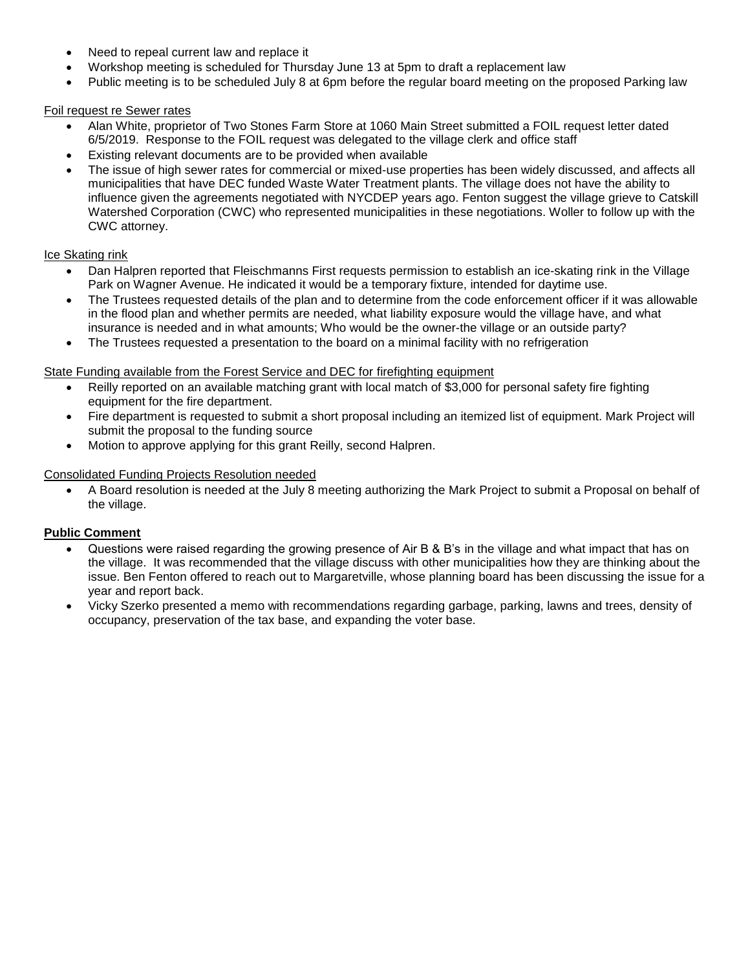- Need to repeal current law and replace it
- Workshop meeting is scheduled for Thursday June 13 at 5pm to draft a replacement law
- Public meeting is to be scheduled July 8 at 6pm before the regular board meeting on the proposed Parking law

# Foil request re Sewer rates

- Alan White, proprietor of Two Stones Farm Store at 1060 Main Street submitted a FOIL request letter dated 6/5/2019. Response to the FOIL request was delegated to the village clerk and office staff
- Existing relevant documents are to be provided when available
- The issue of high sewer rates for commercial or mixed-use properties has been widely discussed, and affects all municipalities that have DEC funded Waste Water Treatment plants. The village does not have the ability to influence given the agreements negotiated with NYCDEP years ago. Fenton suggest the village grieve to Catskill Watershed Corporation (CWC) who represented municipalities in these negotiations. Woller to follow up with the CWC attorney.

# Ice Skating rink

- Dan Halpren reported that Fleischmanns First requests permission to establish an ice-skating rink in the Village Park on Wagner Avenue. He indicated it would be a temporary fixture, intended for daytime use.
- The Trustees requested details of the plan and to determine from the code enforcement officer if it was allowable in the flood plan and whether permits are needed, what liability exposure would the village have, and what insurance is needed and in what amounts; Who would be the owner-the village or an outside party?
- The Trustees requested a presentation to the board on a minimal facility with no refrigeration

# State Funding available from the Forest Service and DEC for firefighting equipment

- Reilly reported on an available matching grant with local match of \$3,000 for personal safety fire fighting equipment for the fire department.
- Fire department is requested to submit a short proposal including an itemized list of equipment. Mark Project will submit the proposal to the funding source
- Motion to approve applying for this grant Reilly, second Halpren.

# Consolidated Funding Projects Resolution needed

• A Board resolution is needed at the July 8 meeting authorizing the Mark Project to submit a Proposal on behalf of the village.

# **Public Comment**

- Questions were raised regarding the growing presence of Air B & B's in the village and what impact that has on the village. It was recommended that the village discuss with other municipalities how they are thinking about the issue. Ben Fenton offered to reach out to Margaretville, whose planning board has been discussing the issue for a year and report back.
- Vicky Szerko presented a memo with recommendations regarding garbage, parking, lawns and trees, density of occupancy, preservation of the tax base, and expanding the voter base.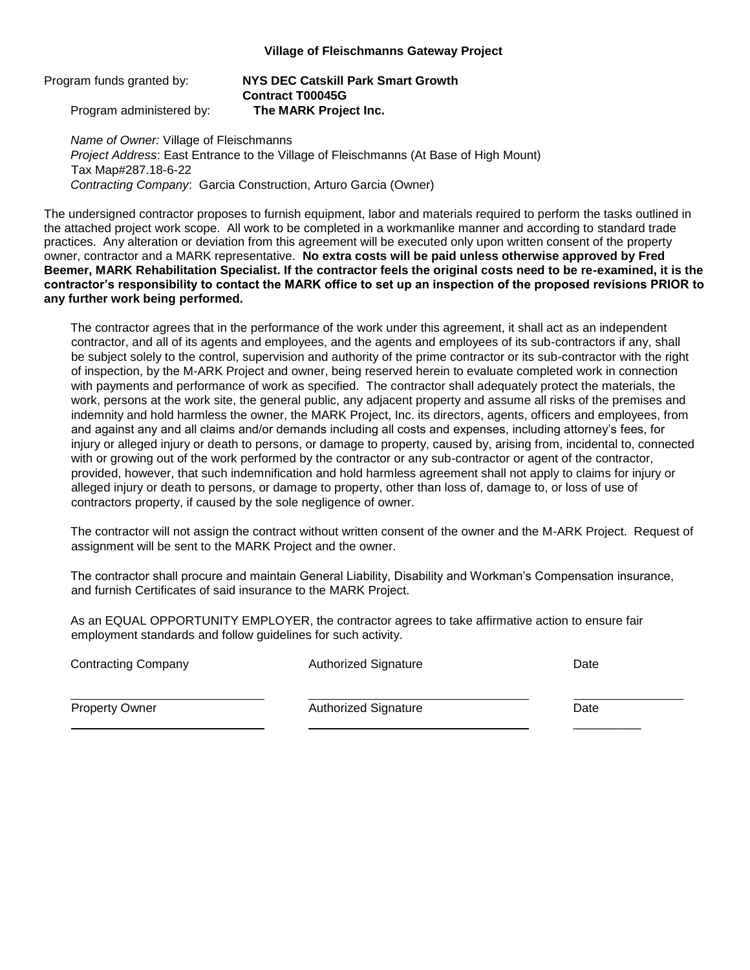### **Village of Fleischmanns Gateway Project**

| Program funds granted by: | NYS DEC Catskill Park Smart Growth |
|---------------------------|------------------------------------|
|                           | <b>Contract T00045G</b>            |
| Program administered by:  | The MARK Project Inc.              |

*Name of Owner:* Village of Fleischmanns *Project Address*: East Entrance to the Village of Fleischmanns (At Base of High Mount) Tax Map#287.18-6-22 *Contracting Company*: Garcia Construction, Arturo Garcia (Owner)

The undersigned contractor proposes to furnish equipment, labor and materials required to perform the tasks outlined in the attached project work scope. All work to be completed in a workmanlike manner and according to standard trade practices. Any alteration or deviation from this agreement will be executed only upon written consent of the property owner, contractor and a MARK representative. **No extra costs will be paid unless otherwise approved by Fred Beemer, MARK Rehabilitation Specialist. If the contractor feels the original costs need to be re-examined, it is the contractor's responsibility to contact the MARK office to set up an inspection of the proposed revisions PRIOR to any further work being performed.**

The contractor agrees that in the performance of the work under this agreement, it shall act as an independent contractor, and all of its agents and employees, and the agents and employees of its sub-contractors if any, shall be subject solely to the control, supervision and authority of the prime contractor or its sub-contractor with the right of inspection, by the M-ARK Project and owner, being reserved herein to evaluate completed work in connection with payments and performance of work as specified. The contractor shall adequately protect the materials, the work, persons at the work site, the general public, any adjacent property and assume all risks of the premises and indemnity and hold harmless the owner, the MARK Project, Inc. its directors, agents, officers and employees, from and against any and all claims and/or demands including all costs and expenses, including attorney's fees, for injury or alleged injury or death to persons, or damage to property, caused by, arising from, incidental to, connected with or growing out of the work performed by the contractor or any sub-contractor or agent of the contractor, provided, however, that such indemnification and hold harmless agreement shall not apply to claims for injury or alleged injury or death to persons, or damage to property, other than loss of, damage to, or loss of use of contractors property, if caused by the sole negligence of owner.

The contractor will not assign the contract without written consent of the owner and the M-ARK Project. Request of assignment will be sent to the MARK Project and the owner.

The contractor shall procure and maintain General Liability, Disability and Workman's Compensation insurance, and furnish Certificates of said insurance to the MARK Project.

As an EQUAL OPPORTUNITY EMPLOYER, the contractor agrees to take affirmative action to ensure fair employment standards and follow guidelines for such activity.

| <b>Contracting Company</b> | <b>Authorized Signature</b> | Date |
|----------------------------|-----------------------------|------|
| <b>Property Owner</b>      | <b>Authorized Signature</b> | Date |
|                            |                             |      |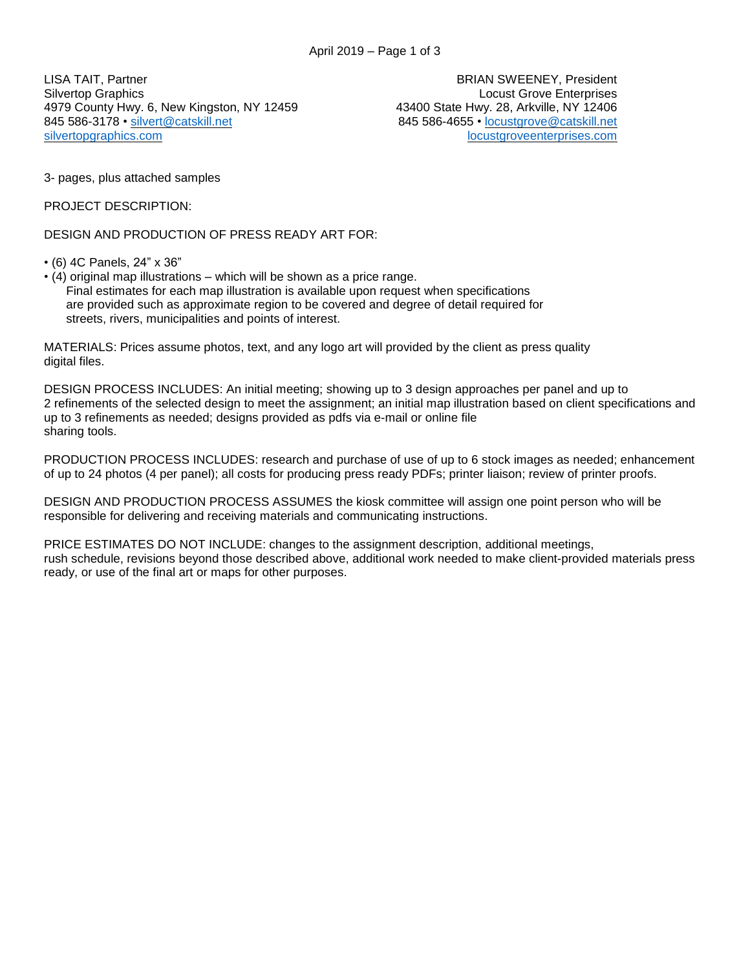LISA TAIT, Partner and the state of the state of the BRIAN SWEENEY, President Silvertop Graphics **Community** Graphics **Community** Constants Community Constants Community Community Community Community Community Community Community Community Community Community Community Community Community Community 4979 County Hwy. 6, New Kingston, NY 12459 43400 State Hwy. 28, Arkville, NY 12406<br>845 586-3178 • silvert@catskill.net 6845 686-4655 • locustgrove@catskill.net [silvertopgraphics.com](http://www.silvertopgraphics.com/) and the state of the state of the state of the state of the state of the state of the state of the state of the state of the state of the state of the state of the state of the state of the state of t

845 586-4655 • [locustgrove@catskill.net](mailto:locustgrove@catskill.net)

3- pages, plus attached samples

PROJECT DESCRIPTION:

DESIGN AND PRODUCTION OF PRESS READY ART FOR:

• (6) 4C Panels, 24" x 36"

• (4) original map illustrations – which will be shown as a price range. Final estimates for each map illustration is available upon request when specifications are provided such as approximate region to be covered and degree of detail required for streets, rivers, municipalities and points of interest.

MATERIALS: Prices assume photos, text, and any logo art will provided by the client as press quality digital files.

DESIGN PROCESS INCLUDES: An initial meeting; showing up to 3 design approaches per panel and up to 2 refinements of the selected design to meet the assignment; an initial map illustration based on client specifications and up to 3 refinements as needed; designs provided as pdfs via e-mail or online file sharing tools.

PRODUCTION PROCESS INCLUDES: research and purchase of use of up to 6 stock images as needed; enhancement of up to 24 photos (4 per panel); all costs for producing press ready PDFs; printer liaison; review of printer proofs.

DESIGN AND PRODUCTION PROCESS ASSUMES the kiosk committee will assign one point person who will be responsible for delivering and receiving materials and communicating instructions.

PRICE ESTIMATES DO NOT INCLUDE: changes to the assignment description, additional meetings, rush schedule, revisions beyond those described above, additional work needed to make client-provided materials press ready, or use of the final art or maps for other purposes.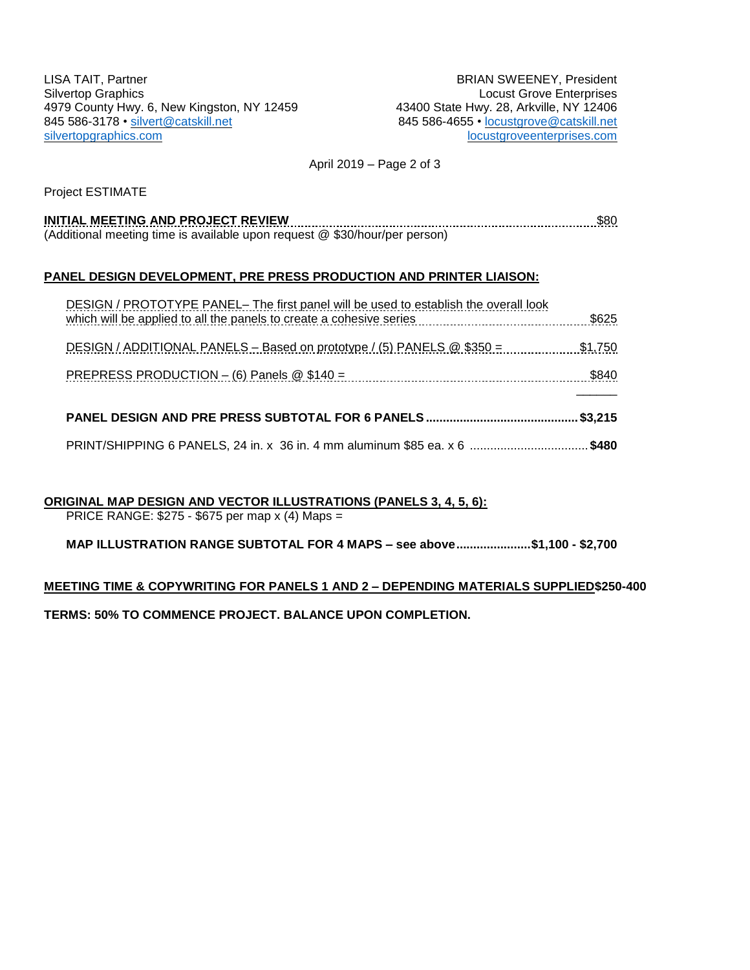LISA TAIT, Partner and The Communication of the BRIAN SWEENEY, President Silvertop Graphics **Community** Graphics **Community** Constants Community Constants Community Community Community Community Community Community Community Community Community Community Community Community Community Community 4979 County Hwy. 6, New Kingston, NY 12459 43400 State Hwy. 28, Arkville, NY 12406<br>845 586-4655 • locustgrove@catskill.net [silvertopgraphics.com](http://www.silvertopgraphics.com/) and the state of the state of the state of the state of the state of the state of the state of the state of the state of the state of the state of the state of the state of the state of the state of t

845 586-4655 • [locustgrove@catskill.net](mailto:locustgrove@catskill.net)

## April 2019 – Page 2 of 3

Project ESTIMATE

| <b>INITIAL MEETING AND PROJECT REVIEW</b>                                  |  |
|----------------------------------------------------------------------------|--|
| (Additional meeting time is available upon request @ \$30/hour/per person) |  |

# **PANEL DESIGN DEVELOPMENT, PRE PRESS PRODUCTION AND PRINTER LIAISON:**

| DESIGN / PROTOTYPE PANEL– The first panel will be used to establish the overall look<br>which will be applied to all the panels to create a cohesive series <b>contained as a series</b> which will be applied to all the panels to create a cohesive series | \$625     |
|--------------------------------------------------------------------------------------------------------------------------------------------------------------------------------------------------------------------------------------------------------------|-----------|
| DESIGN / ADDITIONAL PANELS - Based on prototype / (5) PANELS @ \$350 =                                                                                                                                                                                       | \$1,750   |
| PREPRESS PRODUCTION – (6) Panels $@$ \$140 =                                                                                                                                                                                                                 | \$840     |
|                                                                                                                                                                                                                                                              | . \$3,215 |
|                                                                                                                                                                                                                                                              |           |

# **ORIGINAL MAP DESIGN AND VECTOR ILLUSTRATIONS (PANELS 3, 4, 5, 6):**

PRICE RANGE: \$275 - \$675 per map x (4) Maps =

**MAP ILLUSTRATION RANGE SUBTOTAL FOR 4 MAPS – see above......................\$1,100 - \$2,700**

### **MEETING TIME & COPYWRITING FOR PANELS 1 AND 2 – DEPENDING MATERIALS SUPPLIED\$250-400**

**TERMS: 50% TO COMMENCE PROJECT. BALANCE UPON COMPLETION.**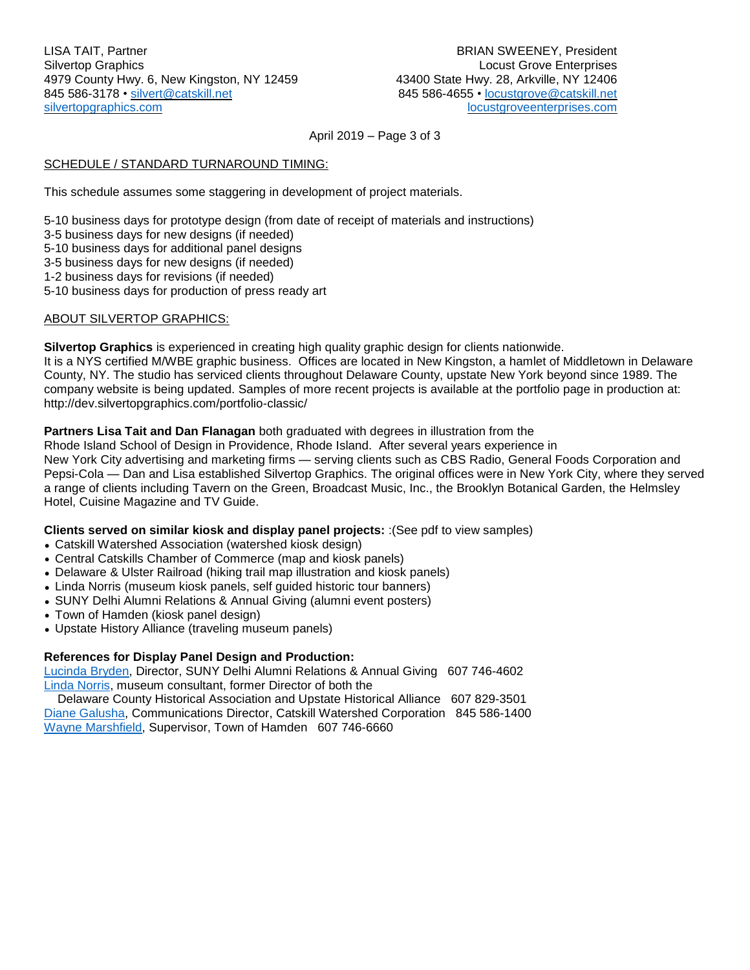April 2019 – Page 3 of 3

# SCHEDULE / STANDARD TURNAROUND TIMING:

This schedule assumes some staggering in development of project materials.

- 5-10 business days for prototype design (from date of receipt of materials and instructions)
- 3-5 business days for new designs (if needed)
- 5-10 business days for additional panel designs
- 3-5 business days for new designs (if needed)
- 1-2 business days for revisions (if needed)
- 5-10 business days for production of press ready art

# ABOUT SILVERTOP GRAPHICS:

**Silvertop Graphics** is experienced in creating high quality graphic design for clients nationwide.

It is a NYS certified M/WBE graphic business. Offices are located in New Kingston, a hamlet of Middletown in Delaware County, NY. The studio has serviced clients throughout Delaware County, upstate New York beyond since 1989. The company website is being updated. Samples of more recent projects is available at the portfolio page in production at: http://dev.silvertopgraphics.com/portfolio-classic/

# **Partners Lisa Tait and Dan Flanagan** both graduated with degrees in illustration from the

Rhode Island School of Design in Providence, Rhode Island. After several years experience in New York City advertising and marketing firms — serving clients such as CBS Radio, General Foods Corporation and Pepsi-Cola — Dan and Lisa established Silvertop Graphics. The original offices were in New York City, where they served a range of clients including Tavern on the Green, Broadcast Music, Inc., the Brooklyn Botanical Garden, the Helmsley Hotel, Cuisine Magazine and TV Guide.

### **Clients served on similar kiosk and display panel projects:** :(See pdf to view samples)

- Catskill Watershed Association (watershed kiosk design)
- Central Catskills Chamber of Commerce (map and kiosk panels)
- Delaware & Ulster Railroad (hiking trail map illustration and kiosk panels)
- Linda Norris (museum kiosk panels, self guided historic tour banners)
- SUNY Delhi Alumni Relations & Annual Giving (alumni event posters)
- Town of Hamden (kiosk panel design)
- Upstate History Alliance (traveling museum panels)

# **References for Display Panel Design and Production:**

[Lucinda](mailto:brydonlm@delhi.edu?subject=) Bryden, Director, SUNY Delhi Alumni Relations & Annual Giving 607 746-4602 Linda [Norris,](mailto:linda@lindabnorris.com?subject=) museum consultant, former Director of both the

 Delaware County Historical Association and Upstate Historical Alliance 607 829-3501 Diane [Galusha,](mailto:galusha@cwconline.org?subject=) Communications Director, Catskill Watershed Corporation 845 586-1400 Wayne [Marshfield,](mailto:waynem@delhitel.net?subject=) Supervisor, Town of Hamden 607 746-6660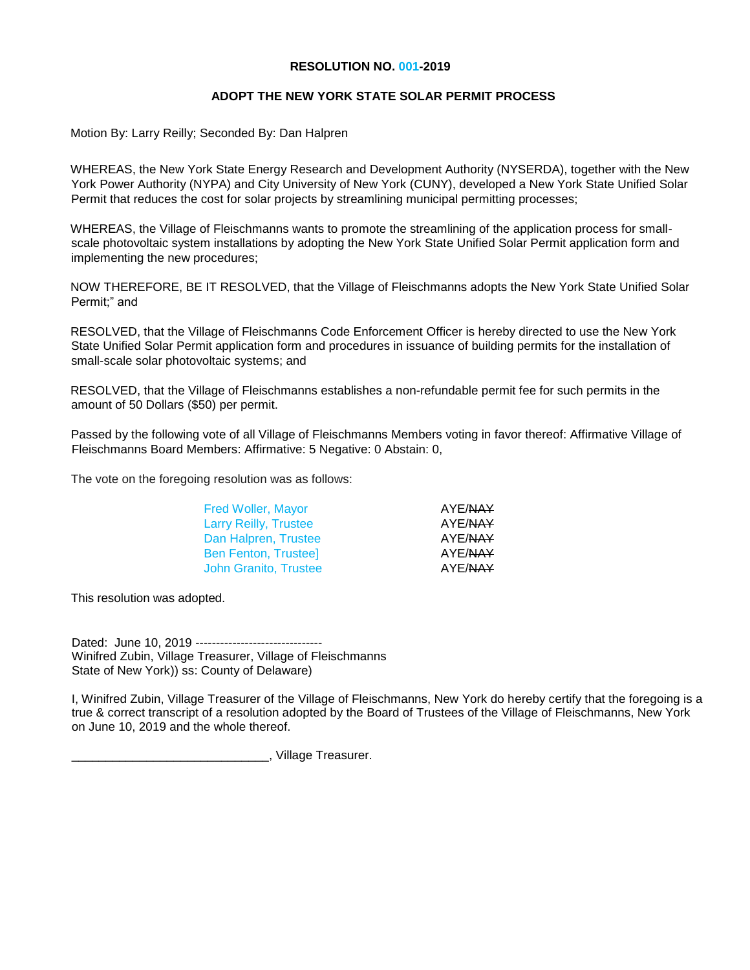## **RESOLUTION NO. 001-2019**

# **ADOPT THE NEW YORK STATE SOLAR PERMIT PROCESS**

Motion By: Larry Reilly; Seconded By: Dan Halpren

WHEREAS, the New York State Energy Research and Development Authority (NYSERDA), together with the New York Power Authority (NYPA) and City University of New York (CUNY), developed a New York State Unified Solar Permit that reduces the cost for solar projects by streamlining municipal permitting processes;

WHEREAS, the Village of Fleischmanns wants to promote the streamlining of the application process for smallscale photovoltaic system installations by adopting the New York State Unified Solar Permit application form and implementing the new procedures;

NOW THEREFORE, BE IT RESOLVED, that the Village of Fleischmanns adopts the New York State Unified Solar Permit;" and

RESOLVED, that the Village of Fleischmanns Code Enforcement Officer is hereby directed to use the New York State Unified Solar Permit application form and procedures in issuance of building permits for the installation of small-scale solar photovoltaic systems; and

RESOLVED, that the Village of Fleischmanns establishes a non-refundable permit fee for such permits in the amount of 50 Dollars (\$50) per permit.

Passed by the following vote of all Village of Fleischmanns Members voting in favor thereof: Affirmative Village of Fleischmanns Board Members: Affirmative: 5 Negative: 0 Abstain: 0,

The vote on the foregoing resolution was as follows:

| AYE/NAY |
|---------|
| AYE/NAY |
| AYE/NAY |
| AYE/NAY |
| AYE/NAY |
|         |

This resolution was adopted.

Dated: June 10, 2019 --------------------------------Winifred Zubin, Village Treasurer, Village of Fleischmanns State of New York)) ss: County of Delaware)

I, Winifred Zubin, Village Treasurer of the Village of Fleischmanns, New York do hereby certify that the foregoing is a true & correct transcript of a resolution adopted by the Board of Trustees of the Village of Fleischmanns, New York on June 10, 2019 and the whole thereof.

\_\_\_\_\_\_\_\_\_\_\_\_\_\_\_\_\_\_\_\_\_\_\_\_\_\_\_\_\_, Village Treasurer.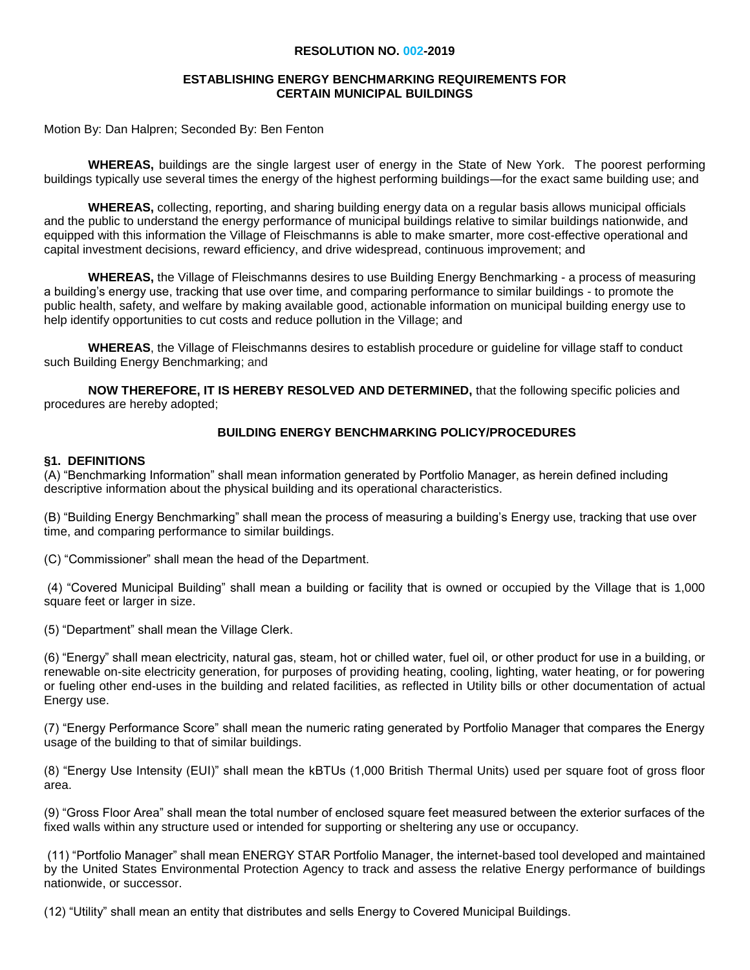#### **RESOLUTION NO. 002-2019**

### **ESTABLISHING ENERGY BENCHMARKING REQUIREMENTS FOR CERTAIN MUNICIPAL BUILDINGS**

Motion By: Dan Halpren; Seconded By: Ben Fenton

**WHEREAS,** buildings are the single largest user of energy in the State of New York. The poorest performing buildings typically use several times the energy of the highest performing buildings—for the exact same building use; and

**WHEREAS,** collecting, reporting, and sharing building energy data on a regular basis allows municipal officials and the public to understand the energy performance of municipal buildings relative to similar buildings nationwide, and equipped with this information the Village of Fleischmanns is able to make smarter, more cost-effective operational and capital investment decisions, reward efficiency, and drive widespread, continuous improvement; and

**WHEREAS,** the Village of Fleischmanns desires to use Building Energy Benchmarking - a process of measuring a building's energy use, tracking that use over time, and comparing performance to similar buildings - to promote the public health, safety, and welfare by making available good, actionable information on municipal building energy use to help identify opportunities to cut costs and reduce pollution in the Village; and

**WHEREAS**, the Village of Fleischmanns desires to establish procedure or guideline for village staff to conduct such Building Energy Benchmarking; and

**NOW THEREFORE, IT IS HEREBY RESOLVED AND DETERMINED,** that the following specific policies and procedures are hereby adopted;

# **BUILDING ENERGY BENCHMARKING POLICY/PROCEDURES**

# **§1. DEFINITIONS**

(A) "Benchmarking Information" shall mean information generated by Portfolio Manager, as herein defined including descriptive information about the physical building and its operational characteristics.

(B) "Building Energy Benchmarking" shall mean the process of measuring a building's Energy use, tracking that use over time, and comparing performance to similar buildings.

(C) "Commissioner" shall mean the head of the Department.

(4) "Covered Municipal Building" shall mean a building or facility that is owned or occupied by the Village that is 1,000 square feet or larger in size.

(5) "Department" shall mean the Village Clerk.

(6) "Energy" shall mean electricity, natural gas, steam, hot or chilled water, fuel oil, or other product for use in a building, or renewable on-site electricity generation, for purposes of providing heating, cooling, lighting, water heating, or for powering or fueling other end-uses in the building and related facilities, as reflected in Utility bills or other documentation of actual Energy use.

(7) "Energy Performance Score" shall mean the numeric rating generated by Portfolio Manager that compares the Energy usage of the building to that of similar buildings.

(8) "Energy Use Intensity (EUI)" shall mean the kBTUs (1,000 British Thermal Units) used per square foot of gross floor area.

(9) "Gross Floor Area" shall mean the total number of enclosed square feet measured between the exterior surfaces of the fixed walls within any structure used or intended for supporting or sheltering any use or occupancy.

(11) "Portfolio Manager" shall mean ENERGY STAR Portfolio Manager, the internet-based tool developed and maintained by the United States Environmental Protection Agency to track and assess the relative Energy performance of buildings nationwide, or successor.

(12) "Utility" shall mean an entity that distributes and sells Energy to Covered Municipal Buildings.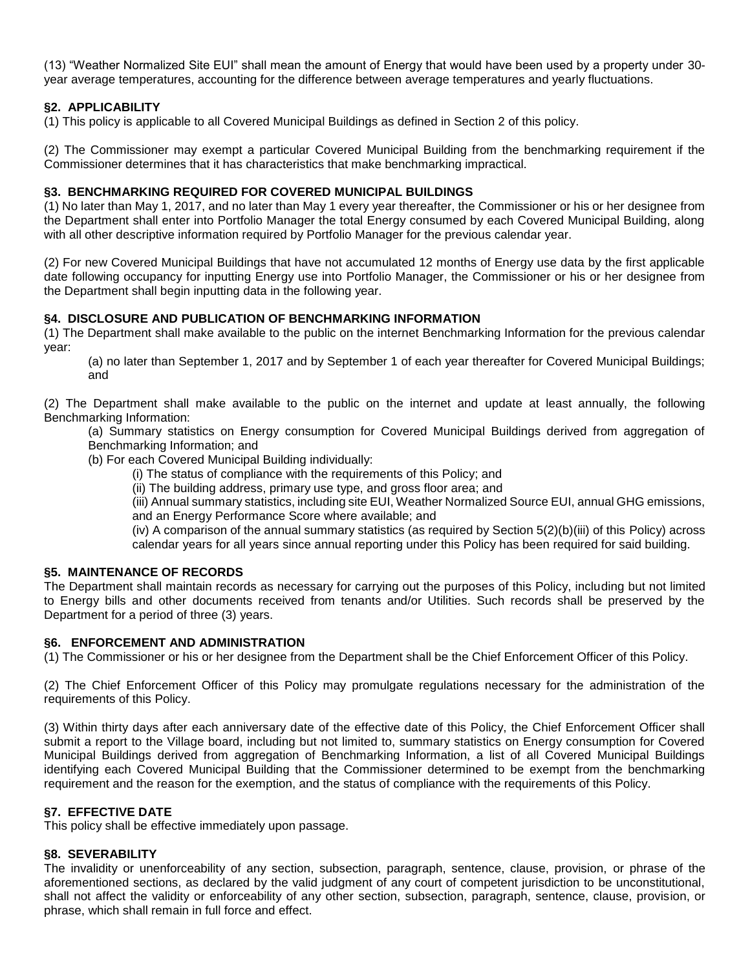(13) "Weather Normalized Site EUI" shall mean the amount of Energy that would have been used by a property under 30 year average temperatures, accounting for the difference between average temperatures and yearly fluctuations.

# **§2. APPLICABILITY**

(1) This policy is applicable to all Covered Municipal Buildings as defined in Section 2 of this policy.

(2) The Commissioner may exempt a particular Covered Municipal Building from the benchmarking requirement if the Commissioner determines that it has characteristics that make benchmarking impractical.

# **§3. BENCHMARKING REQUIRED FOR COVERED MUNICIPAL BUILDINGS**

(1) No later than May 1, 2017, and no later than May 1 every year thereafter, the Commissioner or his or her designee from the Department shall enter into Portfolio Manager the total Energy consumed by each Covered Municipal Building, along with all other descriptive information required by Portfolio Manager for the previous calendar year.

(2) For new Covered Municipal Buildings that have not accumulated 12 months of Energy use data by the first applicable date following occupancy for inputting Energy use into Portfolio Manager, the Commissioner or his or her designee from the Department shall begin inputting data in the following year.

# **§4. DISCLOSURE AND PUBLICATION OF BENCHMARKING INFORMATION**

(1) The Department shall make available to the public on the internet Benchmarking Information for the previous calendar year:

(a) no later than September 1, 2017 and by September 1 of each year thereafter for Covered Municipal Buildings; and

(2) The Department shall make available to the public on the internet and update at least annually, the following Benchmarking Information:

(a) Summary statistics on Energy consumption for Covered Municipal Buildings derived from aggregation of Benchmarking Information; and

(b) For each Covered Municipal Building individually:

(i) The status of compliance with the requirements of this Policy; and

(ii) The building address, primary use type, and gross floor area; and

(iii) Annual summary statistics, including site EUI, Weather Normalized Source EUI, annual GHG emissions, and an Energy Performance Score where available; and

(iv) A comparison of the annual summary statistics (as required by Section 5(2)(b)(iii) of this Policy) across calendar years for all years since annual reporting under this Policy has been required for said building.

# **§5. MAINTENANCE OF RECORDS**

The Department shall maintain records as necessary for carrying out the purposes of this Policy, including but not limited to Energy bills and other documents received from tenants and/or Utilities. Such records shall be preserved by the Department for a period of three (3) years.

# **§6. ENFORCEMENT AND ADMINISTRATION**

(1) The Commissioner or his or her designee from the Department shall be the Chief Enforcement Officer of this Policy.

(2) The Chief Enforcement Officer of this Policy may promulgate regulations necessary for the administration of the requirements of this Policy.

(3) Within thirty days after each anniversary date of the effective date of this Policy, the Chief Enforcement Officer shall submit a report to the Village board, including but not limited to, summary statistics on Energy consumption for Covered Municipal Buildings derived from aggregation of Benchmarking Information, a list of all Covered Municipal Buildings identifying each Covered Municipal Building that the Commissioner determined to be exempt from the benchmarking requirement and the reason for the exemption, and the status of compliance with the requirements of this Policy.

# **§7. EFFECTIVE DATE**

This policy shall be effective immediately upon passage.

### **§8. SEVERABILITY**

The invalidity or unenforceability of any section, subsection, paragraph, sentence, clause, provision, or phrase of the aforementioned sections, as declared by the valid judgment of any court of competent jurisdiction to be unconstitutional, shall not affect the validity or enforceability of any other section, subsection, paragraph, sentence, clause, provision, or phrase, which shall remain in full force and effect.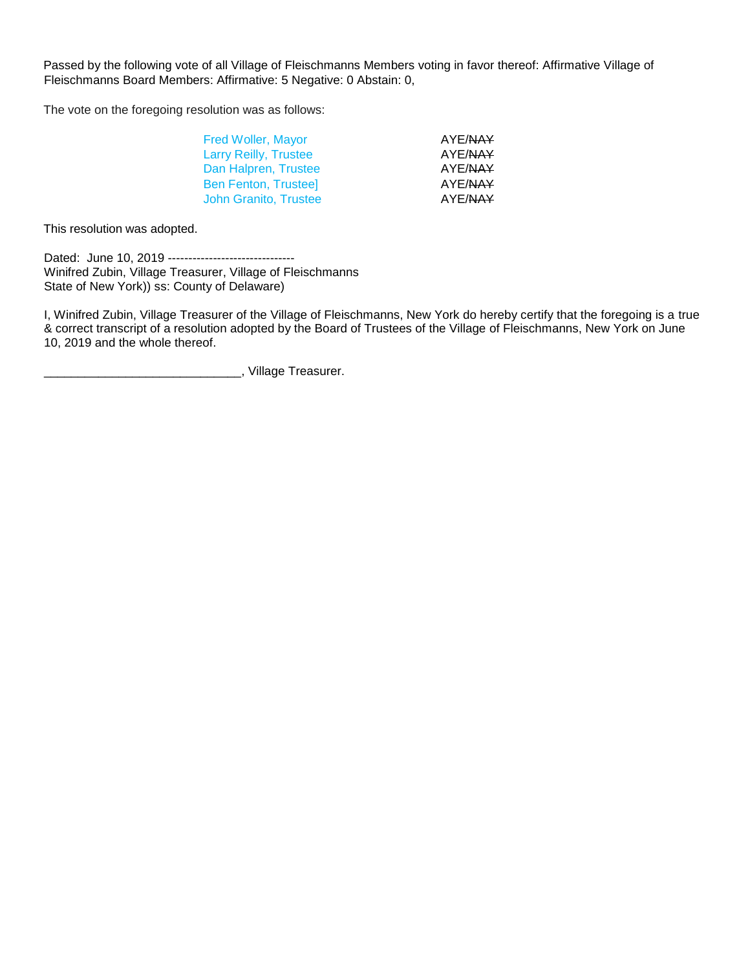Passed by the following vote of all Village of Fleischmanns Members voting in favor thereof: Affirmative Village of Fleischmanns Board Members: Affirmative: 5 Negative: 0 Abstain: 0,

The vote on the foregoing resolution was as follows:

| <b>Fred Woller, Mayor</b>    | AYE/NAY |
|------------------------------|---------|
| Larry Reilly, Trustee        | AYE/NAY |
| Dan Halpren, Trustee         | AYE/NAY |
| <b>Ben Fenton, Trustee]</b>  | AYE/NAY |
| <b>John Granito, Trustee</b> | AYE/NAY |
|                              |         |

This resolution was adopted.

Dated: June 10, 2019 ------------------------------- Winifred Zubin, Village Treasurer, Village of Fleischmanns State of New York)) ss: County of Delaware)

I, Winifred Zubin, Village Treasurer of the Village of Fleischmanns, New York do hereby certify that the foregoing is a true & correct transcript of a resolution adopted by the Board of Trustees of the Village of Fleischmanns, New York on June 10, 2019 and the whole thereof.

\_\_\_\_\_\_\_\_\_\_\_\_\_\_\_\_\_\_\_\_\_\_\_\_\_\_\_\_\_, Village Treasurer.